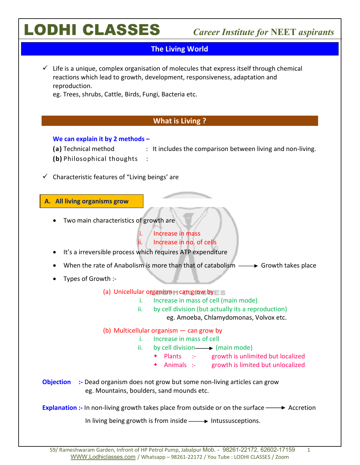| <b>The Living World</b>                                                                                                                                                                                                                                                                                                                                                                                                                                                                                                       |
|-------------------------------------------------------------------------------------------------------------------------------------------------------------------------------------------------------------------------------------------------------------------------------------------------------------------------------------------------------------------------------------------------------------------------------------------------------------------------------------------------------------------------------|
| Life is a unique, complex organisation of molecules that express itself through chemical<br>reactions which lead to growth, development, responsiveness, adaptation and<br>reproduction.<br>eg. Trees, shrubs, Cattle, Birds, Fungi, Bacteria etc.                                                                                                                                                                                                                                                                            |
| What is Living?                                                                                                                                                                                                                                                                                                                                                                                                                                                                                                               |
| We can explain it by 2 methods $-$<br>(a) Technical method<br>: It includes the comparison between living and non-living.<br>(b) Philosophical thoughts                                                                                                                                                                                                                                                                                                                                                                       |
| Characteristic features of "Living beings' are<br>✓                                                                                                                                                                                                                                                                                                                                                                                                                                                                           |
| A. All living organisms grow<br>Two main characteristics of growth are<br><b>Increase in mass</b><br>1.<br>Increase in no. of cells<br>ii.<br>It's a irreversible process which requires ATP expenditure<br>When the rate of Anabolism is more than that of catabolism $\longrightarrow$ Growth takes place<br>Types of Growth :-<br>(a) Unicellular organism – can grow by<br>i. Increase in mass of cell (main mode)<br>by cell division (but actually its a reproduction)<br>ii.<br>eg. Amoeba, Chlamydomonas, Volvox etc. |
| (b) Multicellular organism - can grow by<br>i. Increase in mass of cell<br>by cell division - (main mode)<br>ii.<br>• Plants :- growth is unlimited but localized<br>Animals :- growth is limited but unlocalized<br>:- Dead organism does not grow but some non-living articles can grow<br><b>Objection</b><br>eg. Mountains, boulders, sand mounds etc.                                                                                                                                                                    |
| <b>Explanation :-</b> In non-living growth takes place from outside or on the surface $\longrightarrow$ Accretion                                                                                                                                                                                                                                                                                                                                                                                                             |
| In living being growth is from inside $\longrightarrow$ Intussusceptions.                                                                                                                                                                                                                                                                                                                                                                                                                                                     |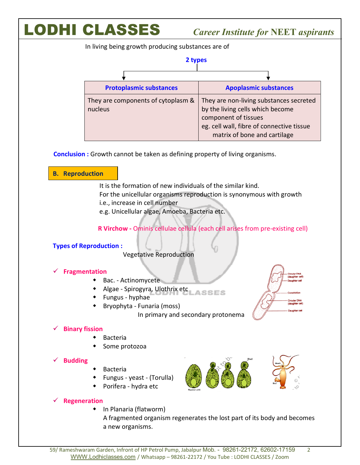In living being growth producing substances are of

| 2 types                                       |
|-----------------------------------------------|
|                                               |
| <b>Protoplasmic substances</b>                |
| They are components of cytoplasm &<br>nucleus |

 **Conclusion :** Growth cannot be taken as defining property of living organisms.

#### **B. Reproduction**

It is the formation of new individuals of the similar kind. For the unicellular organisms reproduction is synonymous with growth i.e., increase in cell number

e.g. Unicellular algae, Amoeba, Bacteria etc.

**R Virchow -** Ominis cellulae cellula (each cell arises from pre-existing cell)

#### **Types of Reproduction :**

Vegetative Reproduction

#### **Fragmentation**

- ◆ Bac. Actinomycete
- Algae Spirogyra, Ulothrix etc **SSES**
- Fungus hyphae
- Bryophyta Funaria (moss)

In primary and secondary protonema

### **Binary fission**

- Bacteria
- Some protozoa

#### **Budding**

- Bacteria
- Fungus yeast (Torulla)
- Porifera hydra etc

### **Regeneration**

◆ In Planaria (flatworm)

A fragmented organism regenerates the lost part of its body and becomes a new organisms.

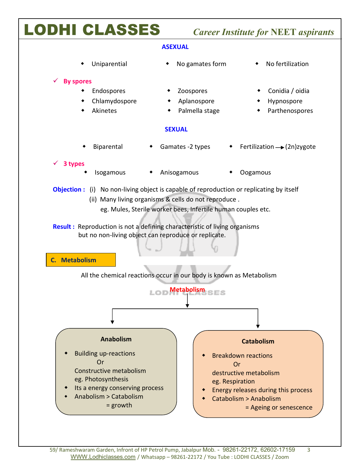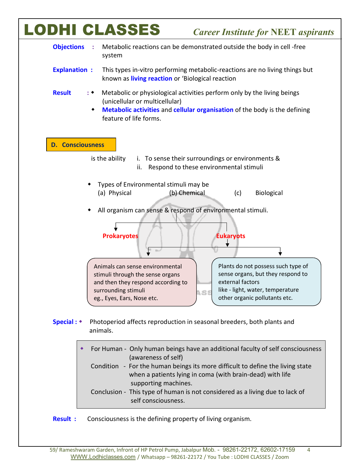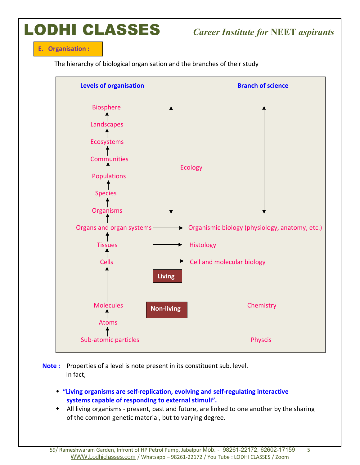**E. Organisation :**

The hierarchy of biological organisation and the branches of their study



**Note :** Properties of a level is note present in its constituent sub. level. In fact,

- **"Living organisms are self-replication, evolving and self-regulating interactive systems capable of responding to external stimuli".**
- All living organisms present, past and future, are linked to one another by the sharing of the common genetic material, but to varying degree.